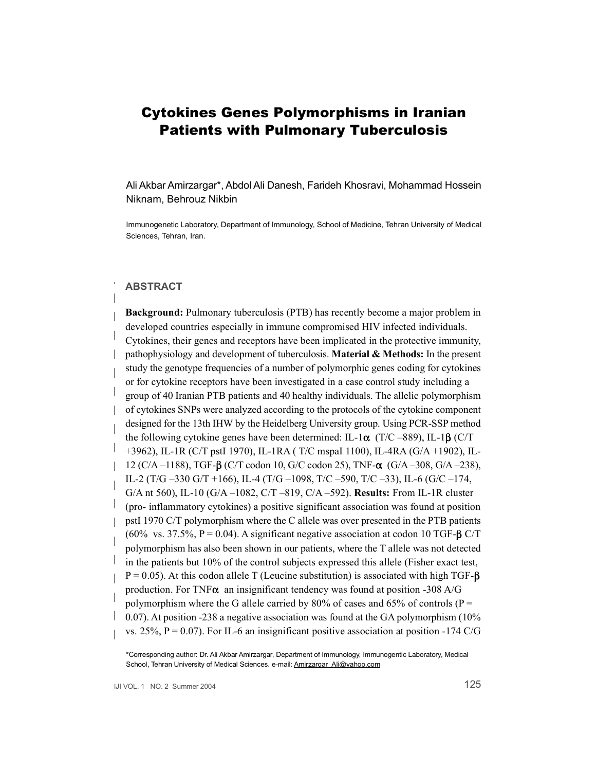# Cytokines Genes Polymorphisms in Iranian Patients with Pulmonary Tuberculosis

Ali Akbar Amirzargar\*, Abdol Ali Danesh, Farideh Khosravi, Mohammad Hossein Niknam, Behrouz Nikbin

Immunogenetic Laboratory, Department of Immunology, School of Medicine, Tehran University of Medical Sciences, Tehran, Iran.

## **ABSTRACT**

**Background:** Pulmonary tuberculosis (PTB) has recently become a major problem in developed countries especially in immune compromised HIV infected individuals. Cytokines, their genes and receptors have been implicated in the protective immunity, pathophysiology and development of tuberculosis. **Material & Methods:** In the present study the genotype frequencies of a number of polymorphic genes coding for cytokines or for cytokine receptors have been investigated in a case control study including a group of 40 Iranian PTB patients and 40 healthy individuals. The allelic polymorphism of cytokines SNPs were analyzed according to the protocols of the cytokine component designed for the 13th IHW by the Heidelberg University group. Using PCR-SSP method the following cytokine genes have been determined: IL-1**ø** (T/C –889), IL-1**æ** (C/T +3962), IL-1R (C/T pstI 1970), IL-1RA ( T/C mspaI 1100), IL-4RA (G/A +1902), IL-12 (C/A –1188), TGF-**æ** (C/T codon 10, G/C codon 25), TNF-**ø** (G/A –308, G/A –238), IL-2 (T/G –330 G/T +166), IL-4 (T/G –1098, T/C –590, T/C –33), IL-6 (G/C –174, G/A nt 560), IL-10 (G/A –1082, C/T –819, C/A –592). **Results:** From IL-1R cluster (pro- inflammatory cytokines) a positive significant association was found at position pstI 1970 C/T polymorphism where the C allele was over presented in the PTB patients (60% vs. 37.5%, P = 0.04). A significant negative association at codon 10 TGF-**æ** C/T polymorphism has also been shown in our patients, where the T allele was not detected in the patients but 10% of the control subjects expressed this allele (Fisher exact test, P = 0.05). At this codon allele T (Leucine substitution) is associated with high TGF-**æ**  production. For TNF**ø** an insignificant tendency was found at position -308 A/G polymorphism where the G allele carried by 80% of cases and 65% of controls ( $P =$ 0.07). At position -238 a negative association was found at the GA polymorphism (10% vs. 25%,  $P = 0.07$ ). For IL-6 an insignificant positive association at position -174 C/G

\*Corresponding author: Dr. Ali Akbar Amirzargar, Department of Immunology, Immunogentic Laboratory, Medical School, Tehran University of Medical Sciences. e-mail: [Amirzargar\\_Ali@yahoo.com](mailto:Amirzargar_Ali@yahoo.com)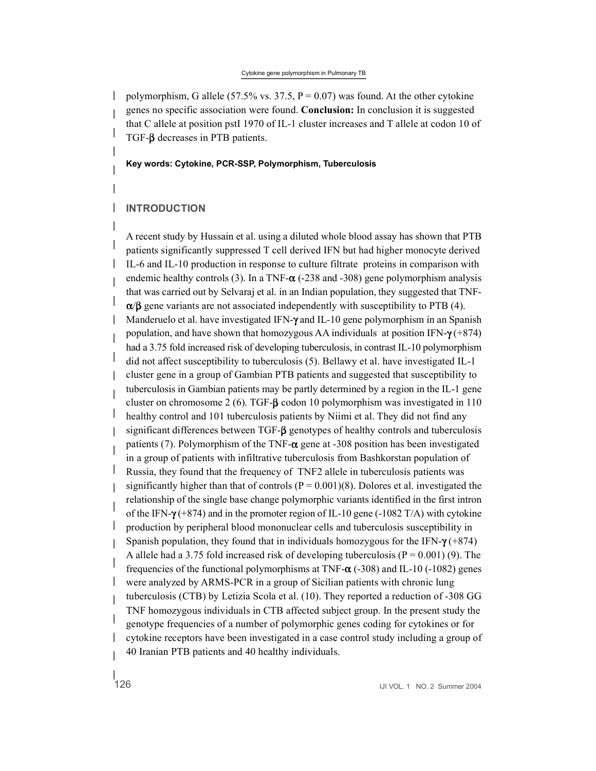#### Cytokine gene polymorphism in Pulmonary TB

polymorphism, G allele (57.5% vs. 37.5,  $P = 0.07$ ) was found. At the other cytokine genes no specific association were found. **Conclusion:** In conclusion it is suggested that C allele at position pstI 1970 of IL-1 cluster increases and T allele at codon 10 of TGF- $\beta$  decreases in PTB patients.

**Key words: Cytokine, PCR-SSP, Polymorphism, Tuberculosis**

# **INTRODUCTION**

A recent study by Hussain et al. using a diluted whole blood assay has shown that PTB patients significantly suppressed T cell derived IFN but had higher monocyte derived IL-6 and IL-10 production in response to culture filtrate proteins in comparison with endemic healthy controls (3). In a TNF-**ø** (-238 and -308) gene polymorphism analysis that was carried out by Selvaraj et al. in an Indian population, they suggested that TNF- $\alpha/\beta$  gene variants are not associated independently with susceptibility to PTB (4). Manderuelo et al. have investigated IFN- $\gamma$  and IL-10 gene polymorphism in an Spanish population, and have shown that homozygous AA individuals at position IFN- $\gamma$  (+874) had a 3.75 fold increased risk of developing tuberculosis, in contrast IL-10 polymorphism did not affect susceptibility to tuberculosis (5). Bellawy et al. have investigated IL-1 cluster gene in a group of Gambian PTB patients and suggested that susceptibility to tuberculosis in Gambian patients may be partly determined by a region in the IL-1 gene cluster on chromosome 2 (6). TGF- $\beta$  codon 10 polymorphism was investigated in 110 healthy control and 101 tuberculosis patients by Niimi et al. They did not find any significant differences between TGF- $\beta$  genotypes of healthy controls and tuberculosis patients (7). Polymorphism of the TNF-**ø** gene at -308 position has been investigated in a group of patients with infiltrative tuberculosis from Bashkorstan population of Russia, they found that the frequency of TNF2 allele in tuberculosis patients was significantly higher than that of controls ( $P = 0.001$ )(8). Dolores et al. investigated the relationship of the single base change polymorphic variants identified in the first intron of the IFN- $\gamma$  (+874) and in the promoter region of IL-10 gene (-1082 T/A) with cytokine production by peripheral blood mononuclear cells and tuberculosis susceptibility in Spanish population, they found that in individuals homozygous for the IFN- $\gamma$  (+874) A allele had a 3.75 fold increased risk of developing tuberculosis ( $P = 0.001$ ) (9). The frequencies of the functional polymorphisms at TNF-**ø** (-308) and IL-10 (-1082) genes were analyzed by ARMS-PCR in a group of Sicilian patients with chronic lung tuberculosis (CTB) by Letizia Scola et al. (10). They reported a reduction of -308 GG TNF homozygous individuals in CTB affected subject group. In the present study the genotype frequencies of a number of polymorphic genes coding for cytokines or for cytokine receptors have been investigated in a case control study including a group of 40 Iranian PTB patients and 40 healthy individuals.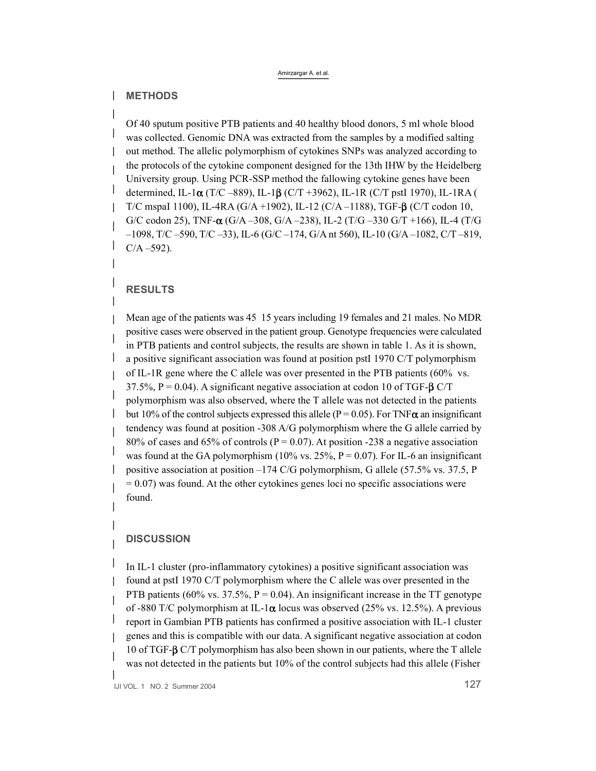#### Amirzargar A. et al.

# **METHODS**

Of 40 sputum positive PTB patients and 40 healthy blood donors, 5 ml whole blood was collected. Genomic DNA was extracted from the samples by a modified salting out method. The allelic polymorphism of cytokines SNPs was analyzed according to the protocols of the cytokine component designed for the 13th IHW by the Heidelberg University group. Using PCR-SSP method the fallowing cytokine genes have been determined, IL-1**ø** (T/C –889), IL-1**æ** (C/T +3962), IL-1R (C/T pstI 1970), IL-1RA ( T/C mspaI 1100), IL-4RA (G/A +1902), IL-12 (C/A –1188), TGF-**æ** (C/T codon 10, G/C codon 25), TNF-**ø** (G/A –308, G/A –238), IL-2 (T/G –330 G/T +166), IL-4 (T/G –1098, T/C –590, T/C –33), IL-6 (G/C –174, G/A nt 560), IL-10 (G/A –1082, C/T –819,  $C/A - 592$ ).

# **RESULTS**

Mean age of the patients was 45 15 years including 19 females and 21 males. No MDR positive cases were observed in the patient group. Genotype frequencies were calculated in PTB patients and control subjects, the results are shown in table 1. As it is shown, a positive significant association was found at position pstI 1970 C/T polymorphism of IL-1R gene where the C allele was over presented in the PTB patients (60% vs. 37.5%,  $P = 0.04$ ). A significant negative association at codon 10 of TGF- $\beta$  C/T polymorphism was also observed, where the T allele was not detected in the patients but 10% of the control subjects expressed this allele ( $P = 0.05$ ). For TNF $\alpha$  an insignificant tendency was found at position -308 A/G polymorphism where the G allele carried by 80% of cases and 65% of controls ( $P = 0.07$ ). At position -238 a negative association was found at the GA polymorphism (10% vs. 25%,  $P = 0.07$ ). For IL-6 an insignificant positive association at position –174 C/G polymorphism, G allele (57.5% vs. 37.5, P  $= 0.07$ ) was found. At the other cytokines genes loci no specific associations were found.

#### **DISCUSSION**

In IL-1 cluster (pro-inflammatory cytokines) a positive significant association was found at pstI 1970 C/T polymorphism where the C allele was over presented in the PTB patients (60% vs. 37.5%,  $P = 0.04$ ). An insignificant increase in the TT genotype of -880 T/C polymorphism at IL-1**ø** locus was observed (25% vs. 12.5%). A previous report in Gambian PTB patients has confirmed a positive association with IL-1 cluster genes and this is compatible with our data. A significant negative association at codon 10 of TGF-**æ** C/T polymorphism has also been shown in our patients, where the T allele was not detected in the patients but 10% of the control subjects had this allele (Fisher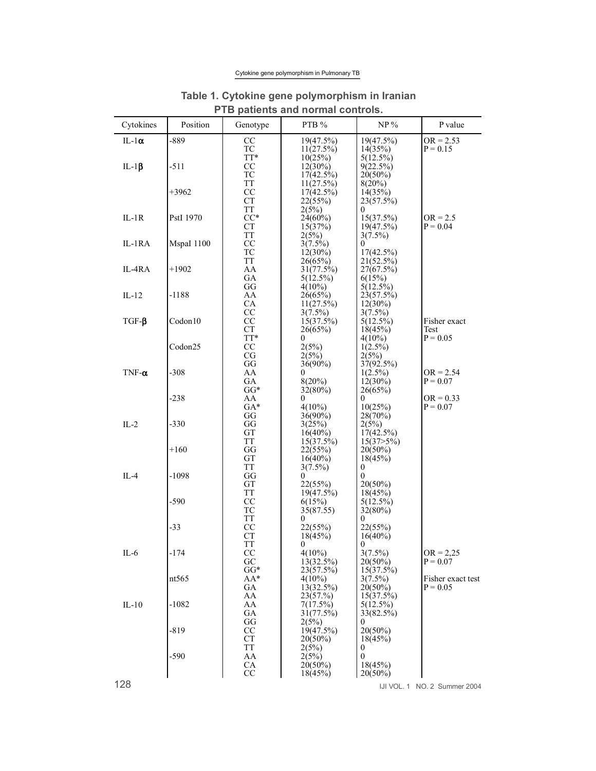## Cytokine gene polymorphism in Pulmonary TB

|               |            | .                            | <b>Pativille and nonlight controls.</b>      |                                                |                                 |
|---------------|------------|------------------------------|----------------------------------------------|------------------------------------------------|---------------------------------|
| Cytokines     | Position   | Genotype                     | PTB %                                        | $NP\%$                                         | P value                         |
| IL-1 $\alpha$ | $-889$     | CC<br>TC                     | 19(47.5%)<br>11(27.5%)                       | 19(47.5%)<br>14(35%)                           | $OR = 2.53$<br>$P = 0.15$       |
| IL-1 $\beta$  | $-511$     | TT*<br>CC<br>TC              | 10(25%)<br>$12(30\%)$<br>$17(42.5\%)$        | $5(12.5\%)$<br>9(22.5%)<br>$20(50\%)$          |                                 |
|               | $+3962$    | <b>TT</b><br>CC<br><b>CT</b> | 11(27.5%)<br>$17(42.5\%)$<br>22(55%)         | $8(20\%)$<br>14(35%)<br>23(57.5%)              |                                 |
| $IL-1R$       | PstI 1970  | TT<br>$CC^*$<br><b>CT</b>    | 2(5%)<br>$24(60\%)$<br>15(37%)               | 0<br>15(37.5%)<br>19(47.5%)                    | $OR = 2.5$<br>$P = 0.04$        |
| IL-1RA        | MspaI 1100 | <b>TT</b><br>CC<br>TC        | 2(5%)<br>$3(7.5\%)$<br>$12(30\%)$            | $3(7.5\%)$<br>$\theta$<br>$17(42.5\%)$         |                                 |
| IL-4RA        | $+1902$    | <b>TT</b><br>AA<br>GА        | 26(65%)<br>31(77.5%)<br>5(12.5%)             | 21(52.5%)<br>27(67.5%)<br>6(15%)               |                                 |
| $IL-12$       | $-1188$    | GG<br>AA<br>CA               | $4(10\%)$<br>26(65%)<br>$11(27.5\%)$         | $5(12.5\%)$<br>23(57.5%)<br>$12(30\%)$         |                                 |
| $TGF-\beta$   | Codon10    | CC<br>CC<br><b>CT</b>        | $3(7.5\%)$<br>15(37.5%)<br>26(65%)           | $3(7.5\%)$<br>$5(12.5\%)$<br>18(45%)           | Fisher exact<br>Test            |
|               | Codon25    | TT*<br>CC                    | $\theta$<br>2(5%)                            | $4(10\%)$<br>$1(2.5\%)$                        | $P = 0.05$                      |
| $TNF-\alpha$  | $-308$     | CG<br>GG<br>AA<br>GA         | 2(5%)<br>$36(90\%)$<br>$\theta$<br>$8(20\%)$ | 2(5%)<br>37(92.5%)<br>$1(2.5\%)$<br>$12(30\%)$ | $OR = 2.54$<br>$P = 0.07$       |
|               | $-238$     | $GG*$<br>AA<br>$GA*$         | $32(80\%)$<br>$\theta$<br>$4(10\%)$          | 26(65%)<br>0<br>10(25%)                        | $OR = 0.33$<br>$P = 0.07$       |
| $IL-2$        | $-330$     | GG<br>GG<br>GT               | $36(90\%)$<br>3(25%)<br>$16(40\%)$           | 28(70%)<br>2(5%)<br>17(42.5%)                  |                                 |
|               | $+160$     | <b>TT</b><br>GG<br>GT        | 15(37.5%)<br>22(55%)<br>$16(40\%)$           | $15(37>5\%)$<br>$20(50\%)$<br>18(45%)          |                                 |
| $IL-4$        | $-1098$    | <b>TT</b><br>GG<br>GТ        | $3(7.5\%)$<br>$\Omega$<br>22(55%)            | 0<br>0<br>$20(50\%)$                           |                                 |
|               | $-590$     | <b>TT</b><br>CC<br>TC        | 19(47.5%)<br>6(15%)<br>35(87.55)             | 18(45%)<br>$5(12.5\%)$<br>$32(80\%)$           |                                 |
|               | $-33$      | <b>TT</b><br>CC<br><b>CT</b> | $\theta$<br>22(55%)<br>18(45%)               | $^{(1)}$<br>22(55%)<br>$16(40\%)$              |                                 |
| $IL-6$        | $-174$     | <b>TT</b><br>CC<br>GC        | $\boldsymbol{0}$<br>$4(10\%)$<br>13(32.5%)   | $\mathbf{0}$<br>$3(7.5\%)$<br>$20(50\%)$       | $OR = 2,25$<br>$P = 0.07$       |
|               | nt565      | $GG*$<br>AA*<br>GA           | 23(57.5%)<br>$4(10\%)$<br>13(32.5%)          | 15(37.5%)<br>$3(7.5\%)$<br>20(50%)             | Fisher exact test<br>$P = 0.05$ |
| $IL-10$       | $-1082$    | AA<br>AA<br>GA               | 23(57.%)<br>7(17.5%)<br>31(77.5%)            | 15(37.5%)<br>$5(12.5\%)$<br>33(82.5%)          |                                 |
|               | $-819$     | GG<br><sub>CC</sub><br>СT    | 2(5%)<br>19(47.5%)<br>$20(50\%)$             | $\theta$<br>$20(50\%)$<br>18(45%)              |                                 |
|               | $-590$     | <b>TT</b><br>AA<br>CA        | 2(5%)<br>2(5%)<br>$20(50\%)$                 | 0<br>0<br>18(45%)                              |                                 |
|               |            | CC                           | 18(45%)                                      | $20(50\%)$                                     |                                 |

# **Table 1. Cytokine gene polymorphism in Iranian PTB patients and normal controls.**

128 IJI VOL. 1 NO. 2 Summer <sup>2004</sup>